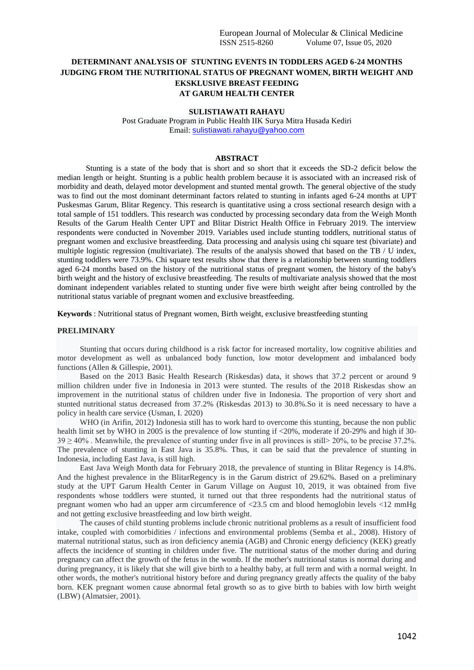# **DETERMINANT ANALYSIS OF STUNTING EVENTS IN TODDLERS AGED 6-24 MONTHS JUDGING FROM THE NUTRITIONAL STATUS OF PREGNANT WOMEN, BIRTH WEIGHT AND EKSKLUSIVE BREAST FEEDING AT GARUM HEALTH CENTER**

#### **SULISTIAWATI RAHAYU**

Post Graduate Program in Public Health IIK Surya Mitra Husada Kediri Email: [sulistiawati.rahayu@yahoo.com](mailto:sulistiawati.rahayu@yahoo.com)

#### **ABSTRACT**

Stunting is a state of the body that is short and so short that it exceeds the SD-2 deficit below the median length or height. Stunting is a public health problem because it is associated with an increased risk of morbidity and death, delayed motor development and stunted mental growth. The general objective of the study was to find out the most dominant determinant factors related to stunting in infants aged 6-24 months at UPT Puskesmas Garum, Blitar Regency. This research is quantitative using a cross sectional research design with a total sample of 151 toddlers. This research was conducted by processing secondary data from the Weigh Month Results of the Garum Health Center UPT and Blitar District Health Office in February 2019. The interview respondents were conducted in November 2019. Variables used include stunting toddlers, nutritional status of pregnant women and exclusive breastfeeding. Data processing and analysis using chi square test (bivariate) and multiple logistic regression (multivariate). The results of the analysis showed that based on the TB / U index, stunting toddlers were 73.9%. Chi square test results show that there is a relationship between stunting toddlers aged 6-24 months based on the history of the nutritional status of pregnant women, the history of the baby's birth weight and the history of exclusive breastfeeding. The results of multivariate analysis showed that the most dominant independent variables related to stunting under five were birth weight after being controlled by the nutritional status variable of pregnant women and exclusive breastfeeding.

**Keywords** : Nutritional status of Pregnant women, Birth weight, exclusive breastfeeding stunting

#### **PRELIMINARY**

Stunting that occurs during childhood is a risk factor for increased mortality, low cognitive abilities and motor development as well as unbalanced body function, low motor development and imbalanced body functions (Allen & Gillespie, 2001).

Based on the 2013 Basic Health Research (Riskesdas) data, it shows that 37.2 percent or around 9 million children under five in Indonesia in 2013 were stunted. The results of the 2018 Riskesdas show an improvement in the nutritional status of children under five in Indonesia. The proportion of very short and stunted nutritional status decreased from 37.2% (Riskesdas 2013) to 30.8%.So it is need necessary to have a policy in health care service (Usman, I. 2020)

WHO (in Arifin, 2012) Indonesia still has to work hard to overcome this stunting, because the non public health limit set by WHO in 2005 is the prevalence of low stunting if <20%, moderate if 20-29% and high if 30-  $39 \ge 40\%$ . Meanwhile, the prevalence of stunting under five in all provinces is still $> 20\%$ , to be precise 37.2%. The prevalence of stunting in East Java is 35.8%. Thus, it can be said that the prevalence of stunting in Indonesia, including East Java, is still high.

East Java Weigh Month data for February 2018, the prevalence of stunting in Blitar Regency is 14.8%. And the highest prevalence in the BlitarRegency is in the Garum district of 29.62%. Based on a preliminary study at the UPT Garum Health Center in Garum Village on August 10, 2019, it was obtained from five respondents whose toddlers were stunted, it turned out that three respondents had the nutritional status of pregnant women who had an upper arm circumference of <23.5 cm and blood hemoglobin levels <12 mmHg and not getting exclusive breastfeeding and low birth weight.

The causes of child stunting problems include chronic nutritional problems as a result of insufficient food intake, coupled with comorbidities / infections and environmental problems (Semba et al., 2008). History of maternal nutritional status, such as iron deficiency anemia (AGB) and Chronic energy deficiency (KEK) greatly affects the incidence of stunting in children under five. The nutritional status of the mother during and during pregnancy can affect the growth of the fetus in the womb. If the mother's nutritional status is normal during and during pregnancy, it is likely that she will give birth to a healthy baby, at full term and with a normal weight. In other words, the mother's nutritional history before and during pregnancy greatly affects the quality of the baby born. KEK pregnant women cause abnormal fetal growth so as to give birth to babies with low birth weight (LBW) (Almatsier, 2001).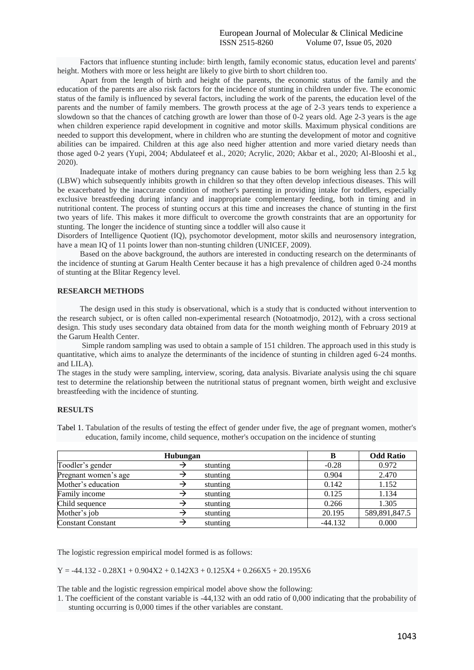Factors that influence stunting include: birth length, family economic status, education level and parents' height. Mothers with more or less height are likely to give birth to short children too.

Apart from the length of birth and height of the parents, the economic status of the family and the education of the parents are also risk factors for the incidence of stunting in children under five. The economic status of the family is influenced by several factors, including the work of the parents, the education level of the parents and the number of family members. The growth process at the age of 2-3 years tends to experience a slowdown so that the chances of catching growth are lower than those of 0-2 years old. Age 2-3 years is the age when children experience rapid development in cognitive and motor skills. Maximum physical conditions are needed to support this development, where in children who are stunting the development of motor and cognitive abilities can be impaired. Children at this age also need higher attention and more varied dietary needs than those aged 0-2 years (Yupi, 2004; Abdulateef et al., 2020; Acrylic, 2020; Akbar et al., 2020; Al-Blooshi et al., 2020).

Inadequate intake of mothers during pregnancy can cause babies to be born weighing less than 2.5 kg (LBW) which subsequently inhibits growth in children so that they often develop infectious diseases. This will be exacerbated by the inaccurate condition of mother's parenting in providing intake for toddlers, especially exclusive breastfeeding during infancy and inappropriate complementary feeding, both in timing and in nutritional content. The process of stunting occurs at this time and increases the chance of stunting in the first two years of life. This makes it more difficult to overcome the growth constraints that are an opportunity for stunting. The longer the incidence of stunting since a toddler will also cause it

Disorders of Intelligence Quotient (IQ), psychomotor development, motor skills and neurosensory integration, have a mean IQ of 11 points lower than non-stunting children (UNICEF, 2009).

Based on the above background, the authors are interested in conducting research on the determinants of the incidence of stunting at Garum Health Center because it has a high prevalence of children aged 0-24 months of stunting at the Blitar Regency level.

#### **RESEARCH METHODS**

The design used in this study is observational, which is a study that is conducted without intervention to the research subject, or is often called non-experimental research (Notoatmodjo, 2012), with a cross sectional design. This study uses secondary data obtained from data for the month weighing month of February 2019 at the Garum Health Center.

Simple random sampling was used to obtain a sample of 151 children. The approach used in this study is quantitative, which aims to analyze the determinants of the incidence of stunting in children aged 6-24 months. and LILA).

The stages in the study were sampling, interview, scoring, data analysis. Bivariate analysis using the chi square test to determine the relationship between the nutritional status of pregnant women, birth weight and exclusive breastfeeding with the incidence of stunting.

#### **RESULTS**

Tabel 1. Tabulation of the results of testing the effect of gender under five, the age of pregnant women, mother's education, family income, child sequence, mother's occupation on the incidence of stunting

| Hubungan                 |   |          | B         | <b>Odd Ratio</b> |
|--------------------------|---|----------|-----------|------------------|
| Toodler's gender         |   | stunting | $-0.28$   | 0.972            |
| Pregnant women's age     |   | stunting | 0.904     | 2.470            |
| Mother's education       |   | stunting | 0.142     | 1.152            |
| Family income            | → | stunting | 0.125     | 1.134            |
| Child sequence           |   | stunting | 0.266     | 1.305            |
| Mother's job             | → | stunting | 20.195    | 589,891,847.5    |
| <b>Constant Constant</b> | → | stunting | $-44.132$ | 0.000            |

The logistic regression empirical model formed is as follows:

 $Y = -44.132 - 0.28X1 + 0.904X2 + 0.142X3 + 0.125X4 + 0.266X5 + 20.195X6$ 

The table and the logistic regression empirical model above show the following:

1. The coefficient of the constant variable is -44,132 with an odd ratio of 0,000 indicating that the probability of stunting occurring is 0,000 times if the other variables are constant.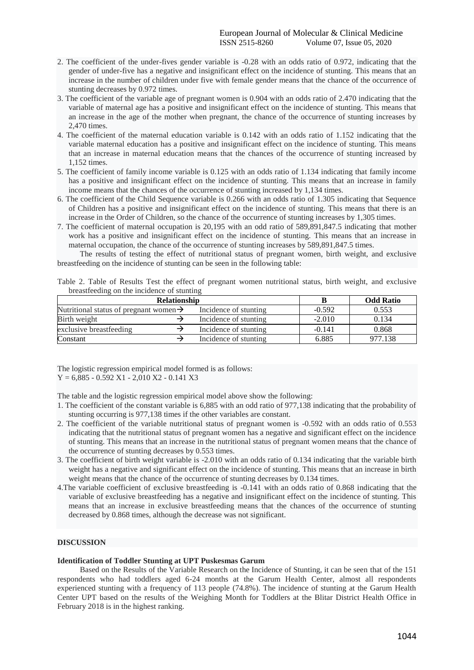- 2. The coefficient of the under-fives gender variable is -0.28 with an odds ratio of 0.972, indicating that the gender of under-five has a negative and insignificant effect on the incidence of stunting. This means that an increase in the number of children under five with female gender means that the chance of the occurrence of stunting decreases by 0.972 times.
- 3. The coefficient of the variable age of pregnant women is 0.904 with an odds ratio of 2.470 indicating that the variable of maternal age has a positive and insignificant effect on the incidence of stunting. This means that an increase in the age of the mother when pregnant, the chance of the occurrence of stunting increases by 2,470 times.
- 4. The coefficient of the maternal education variable is 0.142 with an odds ratio of 1.152 indicating that the variable maternal education has a positive and insignificant effect on the incidence of stunting. This means that an increase in maternal education means that the chances of the occurrence of stunting increased by 1,152 times.
- 5. The coefficient of family income variable is 0.125 with an odds ratio of 1.134 indicating that family income has a positive and insignificant effect on the incidence of stunting. This means that an increase in family income means that the chances of the occurrence of stunting increased by 1,134 times.
- 6. The coefficient of the Child Sequence variable is 0.266 with an odds ratio of 1.305 indicating that Sequence of Children has a positive and insignificant effect on the incidence of stunting. This means that there is an increase in the Order of Children, so the chance of the occurrence of stunting increases by 1,305 times.
- 7. The coefficient of maternal occupation is 20,195 with an odd ratio of 589,891,847.5 indicating that mother work has a positive and insignificant effect on the incidence of stunting. This means that an increase in maternal occupation, the chance of the occurrence of stunting increases by 589,891,847.5 times.

The results of testing the effect of nutritional status of pregnant women, birth weight, and exclusive breastfeeding on the incidence of stunting can be seen in the following table:

| preastreeding on the incidence of stunting         |  |                       |          |                  |  |  |  |
|----------------------------------------------------|--|-----------------------|----------|------------------|--|--|--|
| <b>Relationship</b>                                |  |                       |          | <b>Odd Ratio</b> |  |  |  |
| Nutritional status of pregnant women $\rightarrow$ |  | Incidence of stunting | $-0.592$ | 0.553            |  |  |  |
| Birth weight                                       |  | Incidence of stunting | $-2.010$ | 0.134            |  |  |  |
| exclusive breastfeeding                            |  | Incidence of stunting | $-0.141$ | 0.868            |  |  |  |
| Constant                                           |  | Incidence of stunting | 6.885    | 977.138          |  |  |  |

Table 2. Table of Results Test the effect of pregnant women nutritional status, birth weight, and exclusive breastfeeding on the incidence of stunting

The logistic regression empirical model formed is as follows:  $Y = 6,885 - 0.592 X1 - 2,010 X2 - 0.141 X3$ 

The table and the logistic regression empirical model above show the following:

- 1. The coefficient of the constant variable is 6,885 with an odd ratio of 977,138 indicating that the probability of stunting occurring is 977,138 times if the other variables are constant.
- 2. The coefficient of the variable nutritional status of pregnant women is -0.592 with an odds ratio of 0.553 indicating that the nutritional status of pregnant women has a negative and significant effect on the incidence of stunting. This means that an increase in the nutritional status of pregnant women means that the chance of the occurrence of stunting decreases by 0.553 times.
- 3. The coefficient of birth weight variable is -2.010 with an odds ratio of 0.134 indicating that the variable birth weight has a negative and significant effect on the incidence of stunting. This means that an increase in birth weight means that the chance of the occurrence of stunting decreases by 0.134 times.
- 4.The variable coefficient of exclusive breastfeeding is -0.141 with an odds ratio of 0.868 indicating that the variable of exclusive breastfeeding has a negative and insignificant effect on the incidence of stunting. This means that an increase in exclusive breastfeeding means that the chances of the occurrence of stunting decreased by 0.868 times, although the decrease was not significant.

### **DISCUSSION**

#### **Identification of Toddler Stunting at UPT Puskesmas Garum**

Based on the Results of the Variable Research on the Incidence of Stunting, it can be seen that of the 151 respondents who had toddlers aged 6-24 months at the Garum Health Center, almost all respondents experienced stunting with a frequency of 113 people (74.8%). The incidence of stunting at the Garum Health Center UPT based on the results of the Weighing Month for Toddlers at the Blitar District Health Office in February 2018 is in the highest ranking.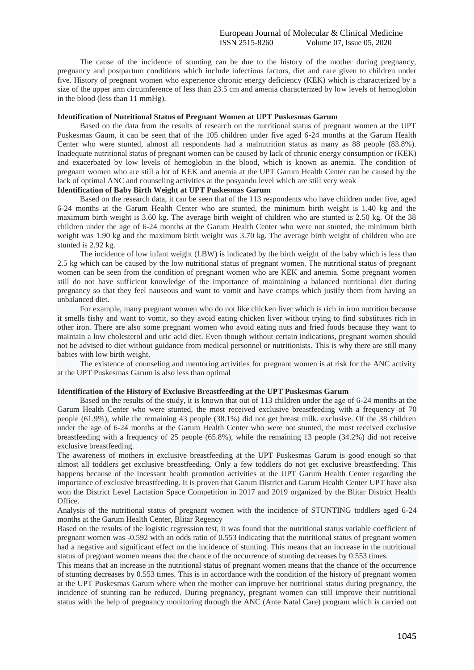The cause of the incidence of stunting can be due to the history of the mother during pregnancy, pregnancy and postpartum conditions which include infectious factors, diet and care given to children under five. History of pregnant women who experience chronic energy deficiency (KEK) which is characterized by a size of the upper arm circumference of less than 23.5 cm and amenia characterized by low levels of hemoglobin in the blood (less than 11 mmHg).

### **Identification of Nutritional Status of Pregnant Women at UPT Puskesmas Garum**

Based on the data from the results of research on the nutritional status of pregnant women at the UPT Puskesmas Gaum, it can be seen that of the 105 children under five aged 6-24 months at the Garum Health Center who were stunted, almost all respondents had a malnutrition status as many as 88 people (83.8%). Inadequate nutritional status of pregnant women can be caused by lack of chronic energy consumption or (KEK) and exacerbated by low levels of hemoglobin in the blood, which is known as anemia. The condition of pregnant women who are still a lot of KEK and anemia at the UPT Garum Health Center can be caused by the lack of optimal ANC and counseling activities at the posyandu level which are still very weak

## **Identification of Baby Birth Weight at UPT Puskesmas Garum**

Based on the research data, it can be seen that of the 113 respondents who have children under five, aged 6-24 months at the Garum Health Center who are stunted, the minimum birth weight is 1.40 kg and the maximum birth weight is 3.60 kg. The average birth weight of children who are stunted is 2.50 kg. Of the 38 children under the age of 6-24 months at the Garum Health Center who were not stunted, the minimum birth weight was 1.90 kg and the maximum birth weight was 3.70 kg. The average birth weight of children who are stunted is 2.92 kg.

The incidence of low infant weight (LBW) is indicated by the birth weight of the baby which is less than 2.5 kg which can be caused by the low nutritional status of pregnant women. The nutritional status of pregnant women can be seen from the condition of pregnant women who are KEK and anemia. Some pregnant women still do not have sufficient knowledge of the importance of maintaining a balanced nutritional diet during pregnancy so that they feel nauseous and want to vomit and have cramps which justify them from having an unbalanced diet.

For example, many pregnant women who do not like chicken liver which is rich in iron nutrition because it smells fishy and want to vomit, so they avoid eating chicken liver without trying to find substitutes rich in other iron. There are also some pregnant women who avoid eating nuts and fried foods because they want to maintain a low cholesterol and uric acid diet. Even though without certain indications, pregnant women should not be advised to diet without guidance from medical personnel or nutritionists. This is why there are still many babies with low birth weight.

The existence of counseling and mentoring activities for pregnant women is at risk for the ANC activity at the UPT Puskesmas Garum is also less than optimal

## **Identification of the History of Exclusive Breastfeeding at the UPT Puskesmas Garum**

Based on the results of the study, it is known that out of 113 children under the age of 6-24 months at the Garum Health Center who were stunted, the most received exclusive breastfeeding with a frequency of 70 people (61.9%), while the remaining 43 people (38.1%) did not get breast milk. exclusive. Of the 38 children under the age of 6-24 months at the Garum Health Center who were not stunted, the most received exclusive breastfeeding with a frequency of 25 people (65.8%), while the remaining 13 people (34.2%) did not receive exclusive breastfeeding.

The awareness of mothers in exclusive breastfeeding at the UPT Puskesmas Garum is good enough so that almost all toddlers get exclusive breastfeeding. Only a few toddlers do not get exclusive breastfeeding. This happens because of the incessant health promotion activities at the UPT Garum Health Center regarding the importance of exclusive breastfeeding. It is proven that Garum District and Garum Health Center UPT have also won the District Level Lactation Space Competition in 2017 and 2019 organized by the Blitar District Health Office.

Analysis of the nutritional status of pregnant women with the incidence of STUNTING toddlers aged 6-24 months at the Garum Health Center, Blitar Regency

Based on the results of the logistic regression test, it was found that the nutritional status variable coefficient of pregnant women was -0.592 with an odds ratio of 0.553 indicating that the nutritional status of pregnant women had a negative and significant effect on the incidence of stunting. This means that an increase in the nutritional status of pregnant women means that the chance of the occurrence of stunting decreases by 0.553 times.

This means that an increase in the nutritional status of pregnant women means that the chance of the occurrence of stunting decreases by 0.553 times. This is in accordance with the condition of the history of pregnant women at the UPT Puskesmas Garum where when the mother can improve her nutritional status during pregnancy, the incidence of stunting can be reduced. During pregnancy, pregnant women can still improve their nutritional status with the help of pregnancy monitoring through the ANC (Ante Natal Care) program which is carried out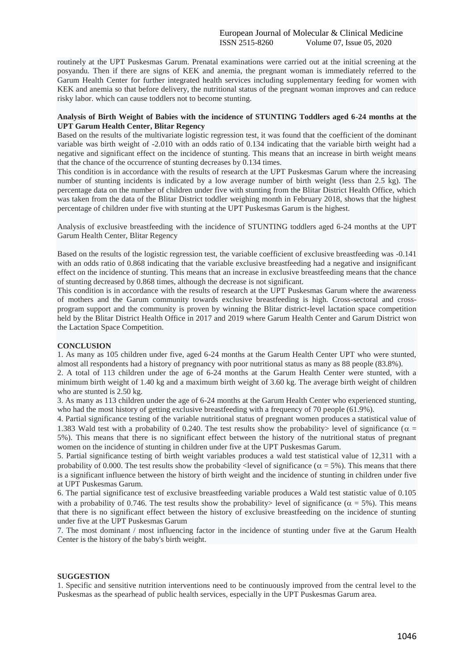routinely at the UPT Puskesmas Garum. Prenatal examinations were carried out at the initial screening at the posyandu. Then if there are signs of KEK and anemia, the pregnant woman is immediately referred to the Garum Health Center for further integrated health services including supplementary feeding for women with KEK and anemia so that before delivery, the nutritional status of the pregnant woman improves and can reduce risky labor. which can cause toddlers not to become stunting.

#### **Analysis of Birth Weight of Babies with the incidence of STUNTING Toddlers aged 6-24 months at the UPT Garum Health Center, Blitar Regency**

Based on the results of the multivariate logistic regression test, it was found that the coefficient of the dominant variable was birth weight of -2.010 with an odds ratio of 0.134 indicating that the variable birth weight had a negative and significant effect on the incidence of stunting. This means that an increase in birth weight means that the chance of the occurrence of stunting decreases by 0.134 times.

This condition is in accordance with the results of research at the UPT Puskesmas Garum where the increasing number of stunting incidents is indicated by a low average number of birth weight (less than 2.5 kg). The percentage data on the number of children under five with stunting from the Blitar District Health Office, which was taken from the data of the Blitar District toddler weighing month in February 2018, shows that the highest percentage of children under five with stunting at the UPT Puskesmas Garum is the highest.

Analysis of exclusive breastfeeding with the incidence of STUNTING toddlers aged 6-24 months at the UPT Garum Health Center, Blitar Regency

Based on the results of the logistic regression test, the variable coefficient of exclusive breastfeeding was -0.141 with an odds ratio of 0.868 indicating that the variable exclusive breastfeeding had a negative and insignificant effect on the incidence of stunting. This means that an increase in exclusive breastfeeding means that the chance of stunting decreased by 0.868 times, although the decrease is not significant.

This condition is in accordance with the results of research at the UPT Puskesmas Garum where the awareness of mothers and the Garum community towards exclusive breastfeeding is high. Cross-sectoral and crossprogram support and the community is proven by winning the Blitar district-level lactation space competition held by the Blitar District Health Office in 2017 and 2019 where Garum Health Center and Garum District won the Lactation Space Competition.

### **CONCLUSION**

1. As many as 105 children under five, aged 6-24 months at the Garum Health Center UPT who were stunted, almost all respondents had a history of pregnancy with poor nutritional status as many as 88 people (83.8%).

2. A total of 113 children under the age of 6-24 months at the Garum Health Center were stunted, with a minimum birth weight of 1.40 kg and a maximum birth weight of 3.60 kg. The average birth weight of children who are stunted is 2.50 kg.

3. As many as 113 children under the age of 6-24 months at the Garum Health Center who experienced stunting, who had the most history of getting exclusive breastfeeding with a frequency of 70 people (61.9%).

4. Partial significance testing of the variable nutritional status of pregnant women produces a statistical value of 1.383 Wald test with a probability of 0.240. The test results show the probability level of significance ( $\alpha$  = 5%). This means that there is no significant effect between the history of the nutritional status of pregnant women on the incidence of stunting in children under five at the UPT Puskesmas Garum.

5. Partial significance testing of birth weight variables produces a wald test statistical value of 12,311 with a probability of 0.000. The test results show the probability < level of significance ( $\alpha = 5\%$ ). This means that there is a significant influence between the history of birth weight and the incidence of stunting in children under five at UPT Puskesmas Garum.

6. The partial significance test of exclusive breastfeeding variable produces a Wald test statistic value of 0.105 with a probability of 0.746. The test results show the probability> level of significance ( $\alpha = 5\%$ ). This means that there is no significant effect between the history of exclusive breastfeeding on the incidence of stunting under five at the UPT Puskesmas Garum

7. The most dominant / most influencing factor in the incidence of stunting under five at the Garum Health Center is the history of the baby's birth weight.

### **SUGGESTION**

1. Specific and sensitive nutrition interventions need to be continuously improved from the central level to the Puskesmas as the spearhead of public health services, especially in the UPT Puskesmas Garum area.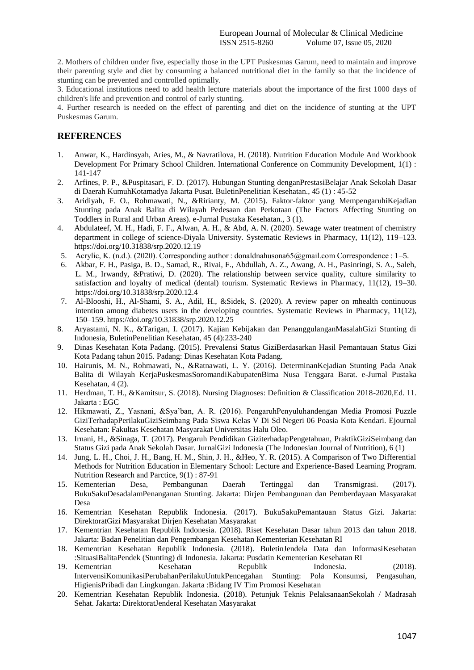2. Mothers of children under five, especially those in the UPT Puskesmas Garum, need to maintain and improve their parenting style and diet by consuming a balanced nutritional diet in the family so that the incidence of stunting can be prevented and controlled optimally.

3. Educational institutions need to add health lecture materials about the importance of the first 1000 days of children's life and prevention and control of early stunting.

4. Further research is needed on the effect of parenting and diet on the incidence of stunting at the UPT Puskesmas Garum.

# **REFERENCES**

- 1. Anwar, K., Hardinsyah, Aries, M., & Navratilova, H. (2018). Nutrition Education Module And Workbook Development For Primary School Children. International Conference on Community Development, 1(1) : 141-147
- 2. Arfines, P. P., &Puspitasari, F. D. (2017). Hubungan Stunting denganPrestasiBelajar Anak Sekolah Dasar di Daerah KumuhKotamadya Jakarta Pusat. BuletinPenelitian Kesehatan., 45 (1) : 45-52
- 3. Aridiyah, F. O., Rohmawati, N., &Ririanty, M. (2015). Faktor-faktor yang MempengaruhiKejadian Stunting pada Anak Balita di Wilayah Pedesaan dan Perkotaan (The Factors Affecting Stunting on Toddlers in Rural and Urban Areas). e-Jurnal Pustaka Kesehatan., 3 (1).
- 4. Abdulateef, M. H., Hadi, F. F., Alwan, A. H., & Abd, A. N. (2020). Sewage water treatment of chemistry department in college of science-Diyala University. Systematic Reviews in Pharmacy, 11(12), 119–123. https://doi.org/10.31838/srp.2020.12.19
- 5. Acrylic, K. (n.d.). (2020). Corresponding author : donaldnahusona65@gmail.com Correspondence : 1–5.
- 6. Akbar, F. H., Pasiga, B. D., Samad, R., Rivai, F., Abdullah, A. Z., Awang, A. H., Pasinringi, S. A., Saleh, L. M., Irwandy, &Pratiwi, D. (2020). The relationship between service quality, culture similarity to satisfaction and loyalty of medical (dental) tourism. Systematic Reviews in Pharmacy, 11(12), 19–30. https://doi.org/10.31838/srp.2020.12.4
- 7. Al-Blooshi, H., Al-Shami, S. A., Adil, H., &Sidek, S. (2020). A review paper on mhealth continuous intention among diabetes users in the developing countries. Systematic Reviews in Pharmacy, 11(12), 150–159. https://doi.org/10.31838/srp.2020.12.25
- 8. Aryastami, N. K., &Tarigan, I. (2017). Kajian Kebijakan dan PenanggulanganMasalahGizi Stunting di Indonesia, BuletinPenelitian Kesehatan, 45 (4):233-240
- 9. Dinas Kesehatan Kota Padang. (2015). Prevalensi Status GiziBerdasarkan Hasil Pemantauan Status Gizi Kota Padang tahun 2015. Padang: Dinas Kesehatan Kota Padang.
- 10. Hairunis, M. N., Rohmawati, N., &Ratnawati, L. Y. (2016). DeterminanKejadian Stunting Pada Anak Balita di Wilayah KerjaPuskesmasSoromandiKabupatenBima Nusa Tenggara Barat. e-Jurnal Pustaka Kesehatan, 4 (2).
- 11. Herdman, T. H., &Kamitsur, S. (2018). Nursing Diagnoses: Definition & Classification 2018-2020,Ed. 11. Jakarta : EGC
- 12. Hikmawati, Z., Yasnani, &Sya'ban, A. R. (2016). PengaruhPenyuluhandengan Media Promosi Puzzle GiziTerhadapPerilakuGiziSeimbang Pada Siswa Kelas V Di Sd Negeri 06 Poasia Kota Kendari. Ejournal Kesehatan: Fakultas Kesehatan Masyarakat Universitas Halu Oleo.
- 13. Irnani, H., &Sinaga, T. (2017). Pengaruh Pendidikan GiziterhadapPengetahuan, PraktikGiziSeimbang dan Status Gizi pada Anak Sekolah Dasar. JurnalGizi Indonesia (The Indonesian Journal of Nutrition), 6 (1)
- 14. Jung, L. H., Choi, J. H., Bang, H. M., Shin, J. H., &Heo, Y. R. (2015). A Comparison of Two Differential Methods for Nutrition Education in Elementary School: Lecture and Experience-Based Learning Program. Nutrition Research and Parctice, 9(1) : 87-91
- 15. Kementerian Desa, Pembangunan Daerah Tertinggal dan Transmigrasi. (2017). BukuSakuDesadalamPenanganan Stunting. Jakarta: Dirjen Pembangunan dan Pemberdayaan Masyarakat Desa
- 16. Kementrian Kesehatan Republik Indonesia. (2017). BukuSakuPemantauan Status Gizi. Jakarta: DirektoratGizi Masyarakat Dirjen Kesehatan Masyarakat
- 17. Kementrian Kesehatan Republik Indonesia. (2018). Riset Kesehatan Dasar tahun 2013 dan tahun 2018. Jakarta: Badan Penelitian dan Pengembangan Kesehatan Kementerian Kesehatan RI
- 18. Kementrian Kesehatan Republik Indonesia. (2018). BuletinJendela Data dan InformasiKesehatan :SituasiBalitaPendek (Stunting) di Indonesia. Jakarta: Pusdatin Kementerian Kesehatan RI
- 19. Kementrian Kesehatan Republik Indonesia. (2018). IntervensiKomunikasiPerubahanPerilakuUntukPencegahan Stunting: Pola Konsumsi, Pengasuhan, HigienisPribadi dan Lingkungan. Jakarta :Bidang IV Tim Promosi Kesehatan
- 20. Kementrian Kesehatan Republik Indonesia. (2018). Petunjuk Teknis PelaksanaanSekolah / Madrasah Sehat. Jakarta: DirektoratJenderal Kesehatan Masyarakat